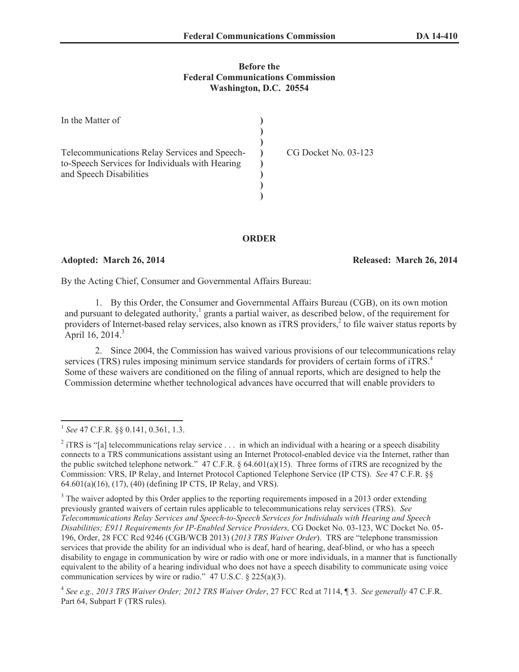## **Before the Federal Communications Commission Washington, D.C. 20554**

| In the Matter of                                                                                                            |                      |
|-----------------------------------------------------------------------------------------------------------------------------|----------------------|
| Telecommunications Relay Services and Speech-<br>to-Speech Services for Individuals with Hearing<br>and Speech Disabilities | CG Docket No. 03-123 |

## **ORDER**

**Adopted: March 26, 2014 Released: March 26, 2014**

By the Acting Chief, Consumer and Governmental Affairs Bureau:

1. By this Order, the Consumer and Governmental Affairs Bureau (CGB), on its own motion and pursuant to delegated authority, $\frac{1}{2}$  grants a partial waiver, as described below, of the requirement for providers of Internet-based relay services, also known as iTRS providers,<sup>2</sup> to file waiver status reports by April 16, 2014. $3$ 

2. Since 2004, the Commission has waived various provisions of our telecommunications relay services (TRS) rules imposing minimum service standards for providers of certain forms of iTRS.<sup>4</sup> Some of these waivers are conditioned on the filing of annual reports, which are designed to help the Commission determine whether technological advances have occurred that will enable providers to

<sup>1</sup> *See* 47 C.F.R. §§ 0.141, 0.361, 1.3.

<sup>&</sup>lt;sup>2</sup> iTRS is "[a] telecommunications relay service  $\ldots$  in which an individual with a hearing or a speech disability connects to a TRS communications assistant using an Internet Protocol-enabled device via the Internet, rather than the public switched telephone network."  $47 \text{ C.F.R. }$  § 64.601(a)(15). Three forms of iTRS are recognized by the Commission: VRS, IP Relay, and Internet Protocol Captioned Telephone Service (IP CTS). *See* 47 C.F.R. §§ 64.601(a)(16), (17), (40) (defining IP CTS, IP Relay, and VRS).

<sup>&</sup>lt;sup>3</sup> The waiver adopted by this Order applies to the reporting requirements imposed in a 2013 order extending previously granted waivers of certain rules applicable to telecommunications relay services (TRS). *See Telecommunications Relay Services and Speech-to-Speech Services for Individuals with Hearing and Speech Disabilities; E911 Requirements for IP-Enabled Service Providers,* CG Docket No. 03-123, WC Docket No. 05- 196, Order, 28 FCC Rcd 9246 (CGB/WCB 2013) (*2013 TRS Waiver Order*). TRS are "telephone transmission services that provide the ability for an individual who is deaf, hard of hearing, deaf-blind, or who has a speech disability to engage in communication by wire or radio with one or more individuals, in a manner that is functionally equivalent to the ability of a hearing individual who does not have a speech disability to communicate using voice communication services by wire or radio." 47 U.S.C. § 225(a)(3).

<sup>4</sup> *See e.g., 2013 TRS Waiver Order; 2012 TRS Waiver Order*, 27 FCC Rcd at 7114, ¶ 3. *See generally* 47 C.F.R. Part 64, Subpart F (TRS rules).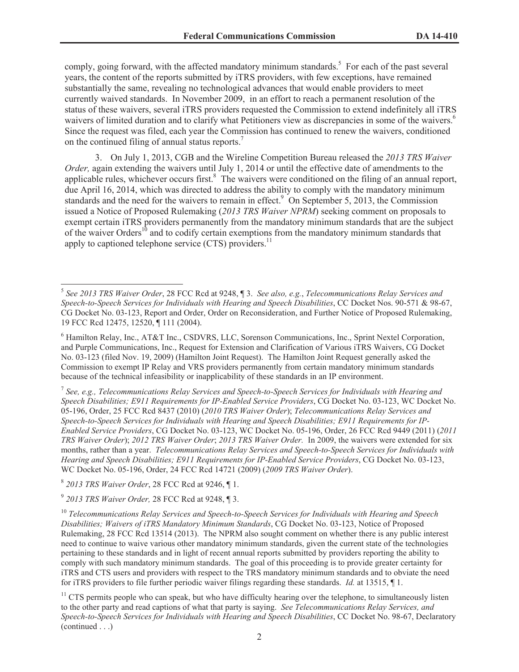comply, going forward, with the affected mandatory minimum standards.<sup>5</sup> For each of the past several years, the content of the reports submitted by iTRS providers, with few exceptions, have remained substantially the same, revealing no technological advances that would enable providers to meet currently waived standards. In November 2009, in an effort to reach a permanent resolution of the status of these waivers, several iTRS providers requested the Commission to extend indefinitely all iTRS waivers of limited duration and to clarify what Petitioners view as discrepancies in some of the waivers.<sup>6</sup> Since the request was filed, each year the Commission has continued to renew the waivers, conditioned on the continued filing of annual status reports.<sup>7</sup>

3. On July 1, 2013, CGB and the Wireline Competition Bureau released the *2013 TRS Waiver Order*, again extending the waivers until July 1, 2014 or until the effective date of amendments to the applicable rules, whichever occurs first.<sup>8</sup> The waivers were conditioned on the filing of an annual report, due April 16, 2014, which was directed to address the ability to comply with the mandatory minimum standards and the need for the waivers to remain in effect.<sup>9</sup> On September 5, 2013, the Commission issued a Notice of Proposed Rulemaking (*2013 TRS Waiver NPRM*) seeking comment on proposals to exempt certain iTRS providers permanently from the mandatory minimum standards that are the subject of the waiver Orders<sup>10</sup> and to codify certain exemptions from the mandatory minimum standards that apply to captioned telephone service  $(CTS)$  providers.<sup>11</sup>

7 *See, e.g., Telecommunications Relay Services and Speech-to-Speech Services for Individuals with Hearing and Speech Disabilities; E911 Requirements for IP-Enabled Service Providers*, CG Docket No. 03-123, WC Docket No. 05-196, Order, 25 FCC Rcd 8437 (2010) (*2010 TRS Waiver Order*); *Telecommunications Relay Services and Speech-to-Speech Services for Individuals with Hearing and Speech Disabilities; E911 Requirements for IP-Enabled Service Providers*, CG Docket No. 03-123, WC Docket No. 05-196, Order, 26 FCC Rcd 9449 (2011) (*2011 TRS Waiver Order*); *2012 TRS Waiver Order*; *2013 TRS Waiver Order.* In 2009, the waivers were extended for six months, rather than a year. *Telecommunications Relay Services and Speech-to-Speech Services for Individuals with Hearing and Speech Disabilities; E911 Requirements for IP-Enabled Service Providers*, CG Docket No. 03-123, WC Docket No. 05-196, Order, 24 FCC Rcd 14721 (2009) (*2009 TRS Waiver Order*).

8 *2013 TRS Waiver Order*, 28 FCC Rcd at 9246, ¶ 1.

9 *2013 TRS Waiver Order,* 28 FCC Rcd at 9248, ¶ 3.

<sup>10</sup> *Telecommunications Relay Services and Speech-to-Speech Services for Individuals with Hearing and Speech Disabilities; Waivers of iTRS Mandatory Minimum Standards*, CG Docket No. 03-123, Notice of Proposed Rulemaking, 28 FCC Rcd 13514 (2013). The NPRM also sought comment on whether there is any public interest need to continue to waive various other mandatory minimum standards, given the current state of the technologies pertaining to these standards and in light of recent annual reports submitted by providers reporting the ability to comply with such mandatory minimum standards. The goal of this proceeding is to provide greater certainty for iTRS and CTS users and providers with respect to the TRS mandatory minimum standards and to obviate the need for iTRS providers to file further periodic waiver filings regarding these standards. *Id.* at 13515, ¶ 1.

 $11$  CTS permits people who can speak, but who have difficulty hearing over the telephone, to simultaneously listen to the other party and read captions of what that party is saying. *See Telecommunications Relay Services, and Speech-to-Speech Services for Individuals with Hearing and Speech Disabilities*, CC Docket No. 98-67, Declaratory (continued . . .)

<sup>5</sup> *See 2013 TRS Waiver Order*, 28 FCC Rcd at 9248, ¶ 3. *See also, e.g.*, *Telecommunications Relay Services and Speech-to-Speech Services for Individuals with Hearing and Speech Disabilities*, CC Docket Nos. 90-571 & 98-67, CG Docket No. 03-123, Report and Order, Order on Reconsideration, and Further Notice of Proposed Rulemaking, 19 FCC Rcd 12475, 12520, ¶ 111 (2004).

<sup>6</sup> Hamilton Relay, Inc., AT&T Inc., CSDVRS, LLC, Sorenson Communications, Inc., Sprint Nextel Corporation, and Purple Communications, Inc., Request for Extension and Clarification of Various iTRS Waivers, CG Docket No. 03-123 (filed Nov. 19, 2009) (Hamilton Joint Request). The Hamilton Joint Request generally asked the Commission to exempt IP Relay and VRS providers permanently from certain mandatory minimum standards because of the technical infeasibility or inapplicability of these standards in an IP environment.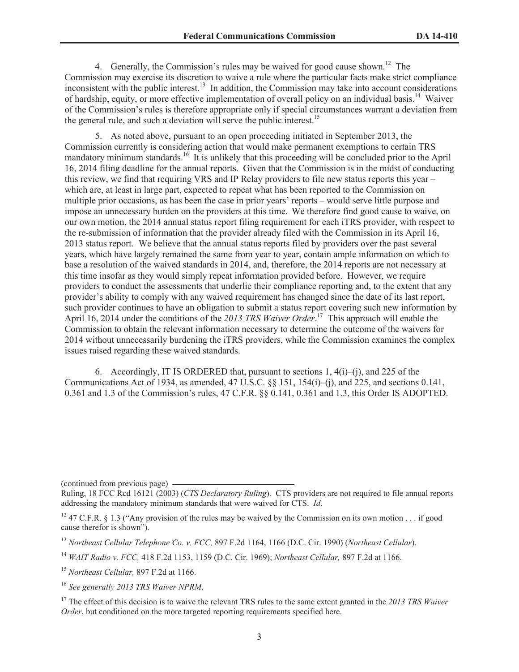4. Generally, the Commission's rules may be waived for good cause shown.<sup>12</sup> The Commission may exercise its discretion to waive a rule where the particular facts make strict compliance inconsistent with the public interest.<sup>13</sup> In addition, the Commission may take into account considerations of hardship, equity, or more effective implementation of overall policy on an individual basis.<sup>14</sup> Waiver of the Commission's rules is therefore appropriate only if special circumstances warrant a deviation from the general rule, and such a deviation will serve the public interest.<sup>15</sup>

5. As noted above, pursuant to an open proceeding initiated in September 2013, the Commission currently is considering action that would make permanent exemptions to certain TRS mandatory minimum standards.<sup>16</sup> It is unlikely that this proceeding will be concluded prior to the April 16, 2014 filing deadline for the annual reports. Given that the Commission is in the midst of conducting this review, we find that requiring VRS and IP Relay providers to file new status reports this year – which are, at least in large part, expected to repeat what has been reported to the Commission on multiple prior occasions, as has been the case in prior years' reports – would serve little purpose and impose an unnecessary burden on the providers at this time. We therefore find good cause to waive, on our own motion, the 2014 annual status report filing requirement for each iTRS provider, with respect to the re-submission of information that the provider already filed with the Commission in its April 16, 2013 status report. We believe that the annual status reports filed by providers over the past several years, which have largely remained the same from year to year, contain ample information on which to base a resolution of the waived standards in 2014, and, therefore, the 2014 reports are not necessary at this time insofar as they would simply repeat information provided before. However, we require providers to conduct the assessments that underlie their compliance reporting and, to the extent that any provider's ability to comply with any waived requirement has changed since the date of its last report, such provider continues to have an obligation to submit a status report covering such new information by April 16, 2014 under the conditions of the *2013 TRS Waiver Order*. <sup>17</sup> This approach will enable the Commission to obtain the relevant information necessary to determine the outcome of the waivers for 2014 without unnecessarily burdening the iTRS providers, while the Commission examines the complex issues raised regarding these waived standards.

6. Accordingly, IT IS ORDERED that, pursuant to sections  $1, 4(i)$ –(i), and 225 of the Communications Act of 1934, as amended,  $47 \text{ U.S.C. }$  §§ 151, 154(i)–(j), and 225, and sections 0.141, 0.361 and 1.3 of the Commission's rules, 47 C.F.R. §§ 0.141, 0.361 and 1.3, this Order IS ADOPTED.

(continued from previous page)

<sup>15</sup> *Northeast Cellular,* 897 F.2d at 1166.

<sup>16</sup> *See generally 2013 TRS Waiver NPRM*.

Ruling, 18 FCC Rcd 16121 (2003) (*CTS Declaratory Ruling*). CTS providers are not required to file annual reports addressing the mandatory minimum standards that were waived for CTS. *Id*.

<sup>&</sup>lt;sup>12</sup> 47 C.F.R. § 1.3 ("Any provision of the rules may be waived by the Commission on its own motion . . . if good cause therefor is shown").

<sup>13</sup> *Northeast Cellular Telephone Co. v. FCC,* 897 F.2d 1164, 1166 (D.C. Cir. 1990) (*Northeast Cellular*).

<sup>14</sup> *WAIT Radio v. FCC,* 418 F.2d 1153, 1159 (D.C. Cir. 1969); *Northeast Cellular,* 897 F.2d at 1166.

<sup>&</sup>lt;sup>17</sup> The effect of this decision is to waive the relevant TRS rules to the same extent granted in the 2013 TRS Waiver *Order*, but conditioned on the more targeted reporting requirements specified here.